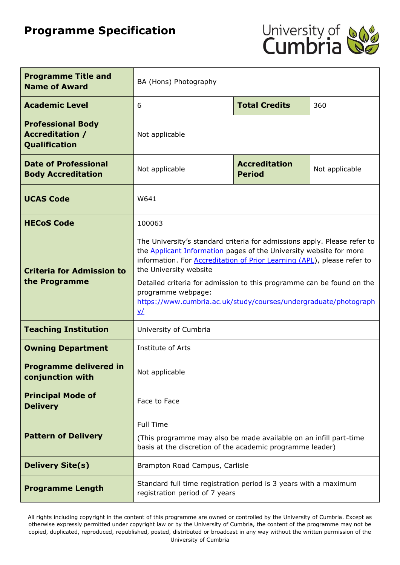# **Programme Specification**



| <b>Programme Title and</b><br><b>Name of Award</b>                         | BA (Hons) Photography                                                                                                                                                                                                                                                                                                                                                                                                                                    |                                       |                |
|----------------------------------------------------------------------------|----------------------------------------------------------------------------------------------------------------------------------------------------------------------------------------------------------------------------------------------------------------------------------------------------------------------------------------------------------------------------------------------------------------------------------------------------------|---------------------------------------|----------------|
| <b>Academic Level</b>                                                      | 6                                                                                                                                                                                                                                                                                                                                                                                                                                                        | <b>Total Credits</b>                  | 360            |
| <b>Professional Body</b><br><b>Accreditation /</b><br><b>Qualification</b> | Not applicable                                                                                                                                                                                                                                                                                                                                                                                                                                           |                                       |                |
| <b>Date of Professional</b><br><b>Body Accreditation</b>                   | Not applicable                                                                                                                                                                                                                                                                                                                                                                                                                                           | <b>Accreditation</b><br><b>Period</b> | Not applicable |
| <b>UCAS Code</b>                                                           | W641                                                                                                                                                                                                                                                                                                                                                                                                                                                     |                                       |                |
| <b>HECoS Code</b>                                                          | 100063                                                                                                                                                                                                                                                                                                                                                                                                                                                   |                                       |                |
| <b>Criteria for Admission to</b><br>the Programme                          | The University's standard criteria for admissions apply. Please refer to<br>the <b>Applicant Information</b> pages of the University website for more<br>information. For <b>Accreditation of Prior Learning (APL)</b> , please refer to<br>the University website<br>Detailed criteria for admission to this programme can be found on the<br>programme webpage:<br>https://www.cumbria.ac.uk/study/courses/undergraduate/photograph<br>$\underline{v}$ |                                       |                |
| <b>Teaching Institution</b>                                                | University of Cumbria                                                                                                                                                                                                                                                                                                                                                                                                                                    |                                       |                |
| <b>Owning Department</b>                                                   | Institute of Arts                                                                                                                                                                                                                                                                                                                                                                                                                                        |                                       |                |
| <b>Programme delivered in</b><br>conjunction with                          | Not applicable                                                                                                                                                                                                                                                                                                                                                                                                                                           |                                       |                |
| <b>Principal Mode of</b><br><b>Delivery</b>                                | Face to Face                                                                                                                                                                                                                                                                                                                                                                                                                                             |                                       |                |
| <b>Pattern of Delivery</b>                                                 | <b>Full Time</b><br>(This programme may also be made available on an infill part-time<br>basis at the discretion of the academic programme leader)                                                                                                                                                                                                                                                                                                       |                                       |                |
| <b>Delivery Site(s)</b>                                                    | Brampton Road Campus, Carlisle                                                                                                                                                                                                                                                                                                                                                                                                                           |                                       |                |
| <b>Programme Length</b>                                                    | Standard full time registration period is 3 years with a maximum<br>registration period of 7 years                                                                                                                                                                                                                                                                                                                                                       |                                       |                |

All rights including copyright in the content of this programme are owned or controlled by the University of Cumbria. Except as otherwise expressly permitted under copyright law or by the University of Cumbria, the content of the programme may not be copied, duplicated, reproduced, republished, posted, distributed or broadcast in any way without the written permission of the University of Cumbria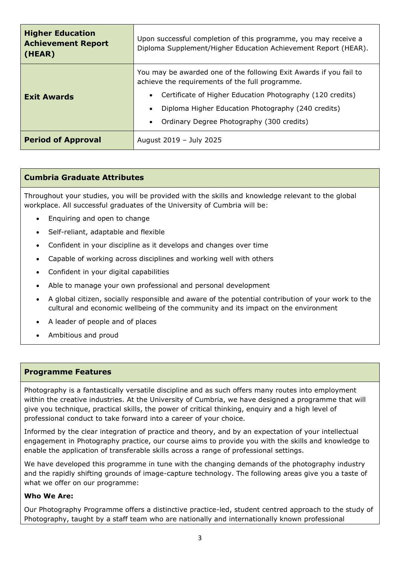| <b>Higher Education</b><br><b>Achievement Report</b><br>(HEAR) | Upon successful completion of this programme, you may receive a<br>Diploma Supplement/Higher Education Achievement Report (HEAR).                                                                                                                                                                  |  |  |
|----------------------------------------------------------------|----------------------------------------------------------------------------------------------------------------------------------------------------------------------------------------------------------------------------------------------------------------------------------------------------|--|--|
| <b>Exit Awards</b>                                             | You may be awarded one of the following Exit Awards if you fail to<br>achieve the requirements of the full programme.<br>Certificate of Higher Education Photography (120 credits)<br>Diploma Higher Education Photography (240 credits)<br>Ordinary Degree Photography (300 credits)<br>$\bullet$ |  |  |
| <b>Period of Approval</b>                                      | August 2019 - July 2025                                                                                                                                                                                                                                                                            |  |  |

### **Cumbria Graduate Attributes**

Throughout your studies, you will be provided with the skills and knowledge relevant to the global workplace. All successful graduates of the University of Cumbria will be:

- Enquiring and open to change
- Self-reliant, adaptable and flexible
- Confident in your discipline as it develops and changes over time
- Capable of working across disciplines and working well with others
- Confident in your digital capabilities
- Able to manage your own professional and personal development
- A global citizen, socially responsible and aware of the potential contribution of your work to the cultural and economic wellbeing of the community and its impact on the environment
- A leader of people and of places
- Ambitious and proud

### **Programme Features**

Photography is a fantastically versatile discipline and as such offers many routes into employment within the creative industries. At the University of Cumbria, we have designed a programme that will give you technique, practical skills, the power of critical thinking, enquiry and a high level of professional conduct to take forward into a career of your choice.

Informed by the clear integration of practice and theory, and by an expectation of your intellectual engagement in Photography practice, our course aims to provide you with the skills and knowledge to enable the application of transferable skills across a range of professional settings.

We have developed this programme in tune with the changing demands of the photography industry and the rapidly shifting grounds of image-capture technology. The following areas give you a taste of what we offer on our programme:

### **Who We Are:**

Our Photography Programme offers a distinctive practice-led, student centred approach to the study of Photography, taught by a staff team who are nationally and internationally known professional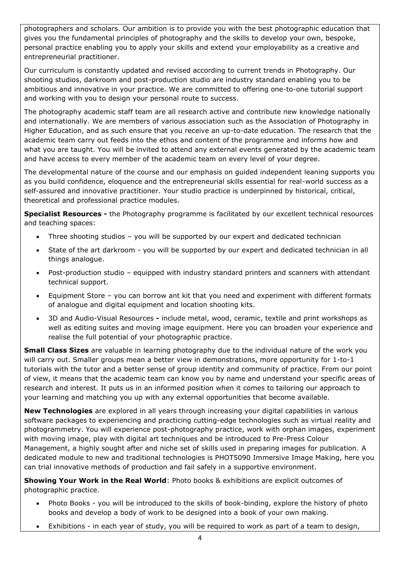photographers and scholars. Our ambition is to provide you with the best photographic education that gives you the fundamental principles of photography and the skills to develop your own, bespoke, personal practice enabling you to apply your skills and extend your employability as a creative and entrepreneurial practitioner.

Our curriculum is constantly updated and revised according to current trends in Photography. Our shooting studios, darkroom and post-production studio are industry standard enabling you to be ambitious and innovative in your practice. We are committed to offering one-to-one tutorial support and working with you to design your personal route to success.

The photography academic staff team are all research active and contribute new knowledge nationally and internationally. We are members of various association such as the Association of Photography in Higher Education, and as such ensure that you receive an up-to-date education. The research that the academic team carry out feeds into the ethos and content of the programme and informs how and what you are taught. You will be invited to attend any external events generated by the academic team and have access to every member of the academic team on every level of your degree.

The developmental nature of the course and our emphasis on guided independent leaning supports you as you build confidence, eloquence and the entrepreneurial skills essential for real-world success as a self-assured and innovative practitioner. Your studio practice is underpinned by historical, critical, theoretical and professional practice modules.

**Specialist Resources -** the Photography programme is facilitated by our excellent technical resources and teaching spaces:

- Three shooting studios you will be supported by our expert and dedicated technician
- State of the art darkroom you will be supported by our expert and dedicated technician in all things analogue.
- Post-production studio equipped with industry standard printers and scanners with attendant technical support.
- Equipment Store you can borrow ant kit that you need and experiment with different formats of analogue and digital equipment and location shooting kits.
- 3D and Audio-Visual Resources **-** include metal, wood, ceramic, textile and print workshops as well as editing suites and moving image equipment. Here you can broaden your experience and realise the full potential of your photographic practice.

**Small Class Sizes** are valuable in learning photography due to the individual nature of the work you will carry out. Smaller groups mean a better view in demonstrations, more opportunity for 1-to-1 tutorials with the tutor and a better sense of group identity and community of practice. From our point of view, it means that the academic team can know you by name and understand your specific areas of research and interest. It puts us in an informed position when it comes to tailoring our approach to your learning and matching you up with any external opportunities that become available.

**New Technologies** are explored in all years through increasing your digital capabilities in various software packages to experiencing and practicing cutting-edge technologies such as virtual reality and photogrammetry. You will experience post-photography practice, work with orphan images, experiment with moving image, play with digital art techniques and be introduced to Pre-Press Colour Management, a highly sought after and niche set of skills used in preparing images for publication. A dedicated module to new and traditional technologies is PHOT5090 Immersive Image Making, here you can trial innovative methods of production and fail safely in a supportive environment.

**Showing Your Work in the Real World**: Photo books & exhibitions are explicit outcomes of photographic practice.

- Photo Books you will be introduced to the skills of book-binding, explore the history of photo books and develop a body of work to be designed into a book of your own making.
- Exhibitions in each year of study, you will be required to work as part of a team to design,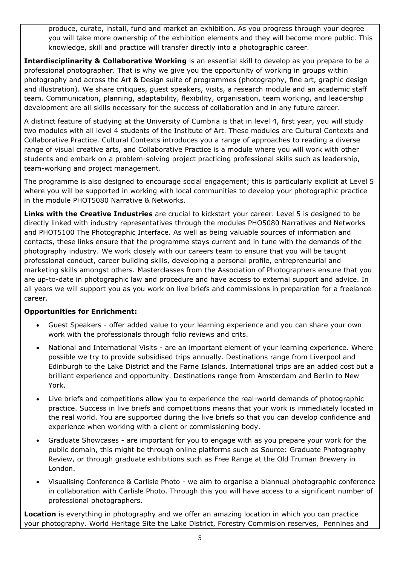produce, curate, install, fund and market an exhibition. As you progress through your degree you will take more ownership of the exhibition elements and they will become more public. This knowledge, skill and practice will transfer directly into a photographic career.

**Interdisciplinarity & Collaborative Working** is an essential skill to develop as you prepare to be a professional photographer. That is why we give you the opportunity of working in groups within photography and across the Art & Design suite of programmes (photography, fine art, graphic design and illustration). We share critiques, guest speakers, visits, a research module and an academic staff team. Communication, planning, adaptability, flexibility, organisation, team working, and leadership development are all skills necessary for the success of collaboration and in any future career.

A distinct feature of studying at the University of Cumbria is that in level 4, first year, you will study two modules with all level 4 students of the Institute of Art. These modules are Cultural Contexts and Collaborative Practice. Cultural Contexts introduces you a range of approaches to reading a diverse range of visual creative arts, and Collaborative Practice is a module where you will work with other students and embark on a problem-solving project practicing professional skills such as leadership, team-working and project management.

The programme is also designed to encourage social engagement; this is particularly explicit at Level 5 where you will be supported in working with local communities to develop your photographic practice in the module PHOT5080 Narrative & Networks.

**Links with the Creative Industries** are crucial to kickstart your career. Level 5 is designed to be directly linked with industry representatives through the modules PHO5080 Narratives and Networks and PHOT5100 The Photographic Interface. As well as being valuable sources of information and contacts, these links ensure that the programme stays current and in tune with the demands of the photography industry. We work closely with our careers team to ensure that you will be taught professional conduct, career building skills, developing a personal profile, entrepreneurial and marketing skills amongst others. Masterclasses from the Association of Photographers ensure that you are up-to-date in photographic law and procedure and have access to external support and advice. In all years we will support you as you work on live briefs and commissions in preparation for a freelance career.

# **Opportunities for Enrichment:**

- Guest Speakers offer added value to your learning experience and you can share your own work with the professionals through folio reviews and crits.
- National and International Visits are an important element of your learning experience. Where possible we try to provide subsidised trips annually. Destinations range from Liverpool and Edinburgh to the Lake District and the Farne Islands. International trips are an added cost but a brilliant experience and opportunity. Destinations range from Amsterdam and Berlin to New York.
- Live briefs and competitions allow you to experience the real-world demands of photographic practice. Success in live briefs and competitions means that your work is immediately located in the real world. You are supported during the live briefs so that you can develop confidence and experience when working with a client or commissioning body.
- Graduate Showcases are important for you to engage with as you prepare your work for the public domain, this might be through online platforms such as Source: Graduate Photography Review, or through graduate exhibitions such as Free Range at the Old Truman Brewery in London.
- Visualising Conference & Carlisle Photo we aim to organise a biannual photographic conference in collaboration with Carlisle Photo. Through this you will have access to a significant number of professional photographers.

**Location** is everything in photography and we offer an amazing location in which you can practice your photography. World Heritage Site the Lake District, Forestry Commision reserves, Pennines and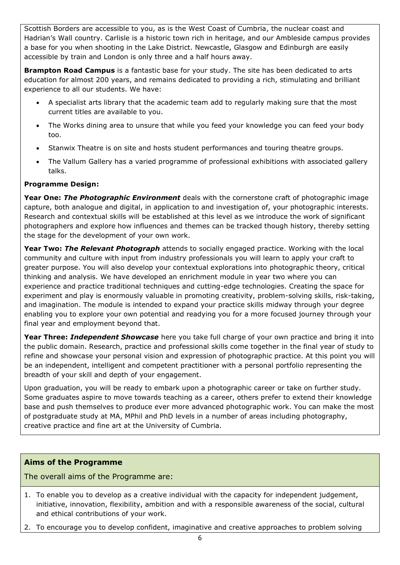Scottish Borders are accessible to you, as is the West Coast of Cumbria, the nuclear coast and Hadrian's Wall country. Carlisle is a historic town rich in heritage, and our Ambleside campus provides a base for you when shooting in the Lake District. Newcastle, Glasgow and Edinburgh are easily accessible by train and London is only three and a half hours away.

**Brampton Road Campus** is a fantastic base for your study. The site has been dedicated to arts education for almost 200 years, and remains dedicated to providing a rich, stimulating and brilliant experience to all our students. We have:

- A specialist arts library that the academic team add to regularly making sure that the most current titles are available to you.
- The Works dining area to unsure that while you feed your knowledge you can feed your body too.
- Stanwix Theatre is on site and hosts student performances and touring theatre groups.
- The Vallum Gallery has a varied programme of professional exhibitions with associated gallery talks.

# **Programme Design:**

**Year One:** *The Photographic Environment* deals with the cornerstone craft of photographic image capture, both analogue and digital, in application to and investigation of, your photographic interests. Research and contextual skills will be established at this level as we introduce the work of significant photographers and explore how influences and themes can be tracked though history, thereby setting the stage for the development of your own work.

**Year Two:** *The Relevant Photograph* attends to socially engaged practice. Working with the local community and culture with input from industry professionals you will learn to apply your craft to greater purpose. You will also develop your contextual explorations into photographic theory, critical thinking and analysis. We have developed an enrichment module in year two where you can experience and practice traditional techniques and cutting-edge technologies. Creating the space for experiment and play is enormously valuable in promoting creativity, problem-solving skills, risk-taking, and imagination. The module is intended to expand your practice skills midway through your degree enabling you to explore your own potential and readying you for a more focused journey through your final year and employment beyond that.

**Year Three:** *Independent Showcase* here you take full charge of your own practice and bring it into the public domain. Research, practice and professional skills come together in the final year of study to refine and showcase your personal vision and expression of photographic practice. At this point you will be an independent, intelligent and competent practitioner with a personal portfolio representing the breadth of your skill and depth of your engagement.

Upon graduation, you will be ready to embark upon a photographic career or take on further study. Some graduates aspire to move towards teaching as a career, others prefer to extend their knowledge base and push themselves to produce ever more advanced photographic work. You can make the most of postgraduate study at MA, MPhil and PhD levels in a number of areas including photography, creative practice and fine art at the University of Cumbria.

# **Aims of the Programme**

The overall aims of the Programme are:

- 1. To enable you to develop as a creative individual with the capacity for independent judgement, initiative, innovation, flexibility, ambition and with a responsible awareness of the social, cultural and ethical contributions of your work.
- 2. To encourage you to develop confident, imaginative and creative approaches to problem solving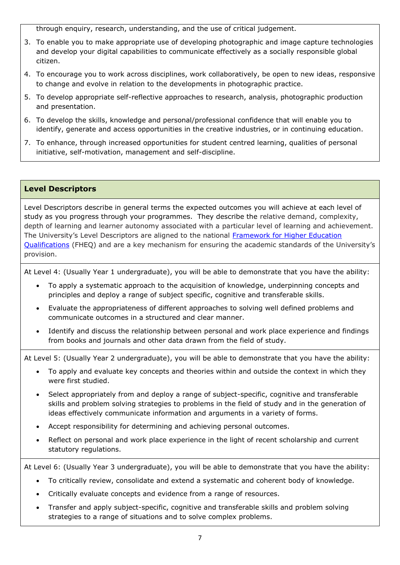through enquiry, research, understanding, and the use of critical judgement.

- 3. To enable you to make appropriate use of developing photographic and image capture technologies and develop your digital capabilities to communicate effectively as a socially responsible global citizen.
- 4. To encourage you to work across disciplines, work collaboratively, be open to new ideas, responsive to change and evolve in relation to the developments in photographic practice.
- 5. To develop appropriate self-reflective approaches to research, analysis, photographic production and presentation.
- 6. To develop the skills, knowledge and personal/professional confidence that will enable you to identify, generate and access opportunities in the creative industries, or in continuing education.
- 7. To enhance, through increased opportunities for student centred learning, qualities of personal initiative, self-motivation, management and self-discipline.

### **Level Descriptors**

Level Descriptors describe in general terms the expected outcomes you will achieve at each level of study as you progress through your programmes. They describe the relative demand, complexity, depth of learning and learner autonomy associated with a particular level of learning and achievement. The University's Level Descriptors are aligned to the national [Framework for Higher Education](http://www.qaa.ac.uk/en/Publications/Documents/qualifications-frameworks.pdf)  [Qualifications](http://www.qaa.ac.uk/en/Publications/Documents/qualifications-frameworks.pdf) (FHEQ) and are a key mechanism for ensuring the academic standards of the University's provision.

At Level 4: (Usually Year 1 undergraduate), you will be able to demonstrate that you have the ability:

- To apply a systematic approach to the acquisition of knowledge, underpinning concepts and principles and deploy a range of subject specific, cognitive and transferable skills.
- Evaluate the appropriateness of different approaches to solving well defined problems and communicate outcomes in a structured and clear manner.
- Identify and discuss the relationship between personal and work place experience and findings from books and journals and other data drawn from the field of study.

At Level 5: (Usually Year 2 undergraduate), you will be able to demonstrate that you have the ability:

- To apply and evaluate key concepts and theories within and outside the context in which they were first studied.
- Select appropriately from and deploy a range of subject-specific, cognitive and transferable skills and problem solving strategies to problems in the field of study and in the generation of ideas effectively communicate information and arguments in a variety of forms.
- Accept responsibility for determining and achieving personal outcomes.
- Reflect on personal and work place experience in the light of recent scholarship and current statutory regulations.

At Level 6: (Usually Year 3 undergraduate), you will be able to demonstrate that you have the ability:

- To critically review, consolidate and extend a systematic and coherent body of knowledge.
- Critically evaluate concepts and evidence from a range of resources.
- Transfer and apply subject-specific, cognitive and transferable skills and problem solving strategies to a range of situations and to solve complex problems.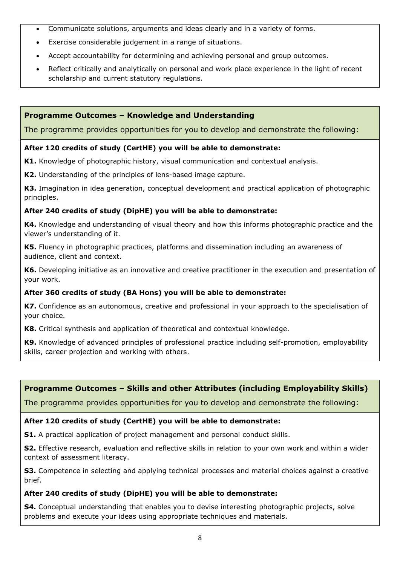- Communicate solutions, arguments and ideas clearly and in a variety of forms.
- Exercise considerable judgement in a range of situations.
- Accept accountability for determining and achieving personal and group outcomes.
- Reflect critically and analytically on personal and work place experience in the light of recent scholarship and current statutory regulations.

# **Programme Outcomes – Knowledge and Understanding**

The programme provides opportunities for you to develop and demonstrate the following:

### **After 120 credits of study (CertHE) you will be able to demonstrate:**

**K1.** Knowledge of photographic history, visual communication and contextual analysis.

**K2.** Understanding of the principles of lens-based image capture.

**K3.** Imagination in idea generation, conceptual development and practical application of photographic principles.

### **After 240 credits of study (DipHE) you will be able to demonstrate:**

**K4.** Knowledge and understanding of visual theory and how this informs photographic practice and the viewer's understanding of it.

**K5.** Fluency in photographic practices, platforms and dissemination including an awareness of audience, client and context.

**K6.** Developing initiative as an innovative and creative practitioner in the execution and presentation of your work.

# **After 360 credits of study (BA Hons) you will be able to demonstrate:**

**K7.** Confidence as an autonomous, creative and professional in your approach to the specialisation of your choice.

**K8.** Critical synthesis and application of theoretical and contextual knowledge.

**K9.** Knowledge of advanced principles of professional practice including self-promotion, employability skills, career projection and working with others.

# **Programme Outcomes – Skills and other Attributes (including Employability Skills)**

The programme provides opportunities for you to develop and demonstrate the following:

### **After 120 credits of study (CertHE) you will be able to demonstrate:**

**S1.** A practical application of project management and personal conduct skills.

**S2.** Effective research, evaluation and reflective skills in relation to your own work and within a wider context of assessment literacy.

**S3.** Competence in selecting and applying technical processes and material choices against a creative brief.

### **After 240 credits of study (DipHE) you will be able to demonstrate:**

**S4.** Conceptual understanding that enables you to devise interesting photographic projects, solve problems and execute your ideas using appropriate techniques and materials.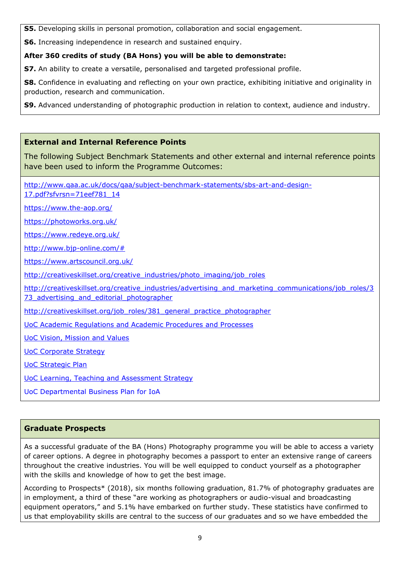**S5.** Developing skills in personal promotion, collaboration and social engagement.

**S6.** Increasing independence in research and sustained enquiry.

# **After 360 credits of study (BA Hons) you will be able to demonstrate:**

**S7.** An ability to create a versatile, personalised and targeted professional profile.

**S8.** Confidence in evaluating and reflecting on your own practice, exhibiting initiative and originality in production, research and communication.

**S9.** Advanced understanding of photographic production in relation to context, audience and industry.

# **External and Internal Reference Points**

The following Subject Benchmark Statements and other external and internal reference points have been used to inform the Programme Outcomes:

[http://www.qaa.ac.uk/docs/qaa/subject-benchmark-statements/sbs-art-and-design-](http://www.qaa.ac.uk/docs/qaa/subject-benchmark-statements/sbs-art-and-design-17.pdf?sfvrsn=71eef781_14)[17.pdf?sfvrsn=71eef781\\_14](http://www.qaa.ac.uk/docs/qaa/subject-benchmark-statements/sbs-art-and-design-17.pdf?sfvrsn=71eef781_14)

<https://www.the-aop.org/>

<https://photoworks.org.uk/>

<https://www.redeye.org.uk/>

[http://www.bjp-online.com/#](http://www.bjp-online.com/)

<https://www.artscouncil.org.uk/>

[http://creativeskillset.org/creative\\_industries/photo\\_imaging/job\\_roles](http://creativeskillset.org/creative_industries/photo_imaging/job_roles)

[http://creativeskillset.org/creative\\_industries/advertising\\_and\\_marketing\\_communications/job\\_roles/3](http://creativeskillset.org/creative_industries/advertising_and_marketing_communications/job_roles/373_advertising_and_editorial_photographer) 73 advertising and editorial photographer

[http://creativeskillset.org/job\\_roles/381\\_general\\_practice\\_photographer](http://creativeskillset.org/job_roles/381_general_practice_photographer)

[UoC Academic Regulations and Academic Procedures](https://www.cumbria.ac.uk/about/organisation/professional-services/academic-quality-and-development/academic-regulations/) and Processes

[UoC Vision, Mission and Values](https://www.cumbria.ac.uk/about/organisation/mission-vision-and-values/)

[UoC Corporate Strategy](file://///uoc.local/departments/AQD/QUALITY/QA%20Team/Validation/Validation%20-%20Policy%20and%20Guidance/TEMPLATES/Validation%20document%20set/•https:/www.cumbria.ac.uk/media/university-of-cumbria-website/content-assets/public/vco/documents/communications/publications/CorporateStrategy2015-18.pdf)

[UoC Strategic Plan](https://www.cumbria.ac.uk/about/publications/strategic-plan/)

[UoC Learning, Teaching and Assessment Strategy](https://www.cumbria.ac.uk/media/university-of-cumbria-website/content-assets/public/aqs/documents/LearningTeachingAssessmentStrategy.pdf)

UoC Departmental Business Plan for IoA

# **Graduate Prospects**

As a successful graduate of the BA (Hons) Photography programme you will be able to access a variety of career options. A degree in photography becomes a passport to enter an extensive range of careers throughout the creative industries. You will be well equipped to conduct yourself as a photographer with the skills and knowledge of how to get the best image.

According to Prospects\* (2018), six months following graduation, 81.7% of photography graduates are in employment, a third of these "are working as photographers or audio-visual and broadcasting equipment operators," and 5.1% have embarked on further study. These statistics have confirmed to us that employability skills are central to the success of our graduates and so we have embedded the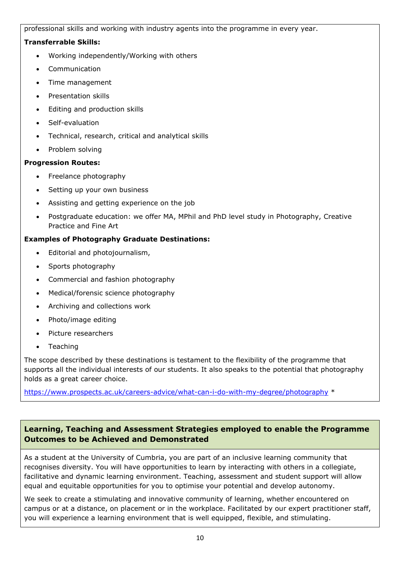professional skills and working with industry agents into the programme in every year.

# **Transferrable Skills:**

- Working independently/Working with others
- **Communication**
- Time management
- Presentation skills
- Editing and production skills
- Self-evaluation
- Technical, research, critical and analytical skills
- Problem solving

# **Progression Routes:**

- Freelance photography
- Setting up your own business
- Assisting and getting experience on the job
- Postgraduate education: we offer MA, MPhil and PhD level study in Photography, Creative Practice and Fine Art

# **Examples of Photography Graduate Destinations:**

- Editorial and photojournalism,
- Sports photography
- Commercial and fashion photography
- Medical/forensic science photography
- Archiving and collections work
- Photo/image editing
- Picture researchers
- Teaching

The scope described by these destinations is testament to the flexibility of the programme that supports all the individual interests of our students. It also speaks to the potential that photography holds as a great career choice.

<https://www.prospects.ac.uk/careers-advice/what-can-i-do-with-my-degree/photography> \*

# **Learning, Teaching and Assessment Strategies employed to enable the Programme Outcomes to be Achieved and Demonstrated**

As a student at the University of Cumbria, you are part of an inclusive learning community that recognises diversity. You will have opportunities to learn by interacting with others in a collegiate, facilitative and dynamic learning environment. Teaching, assessment and student support will allow equal and equitable opportunities for you to optimise your potential and develop autonomy.

We seek to create a stimulating and innovative community of learning, whether encountered on campus or at a distance, on placement or in the workplace. Facilitated by our expert practitioner staff, you will experience a learning environment that is well equipped, flexible, and stimulating.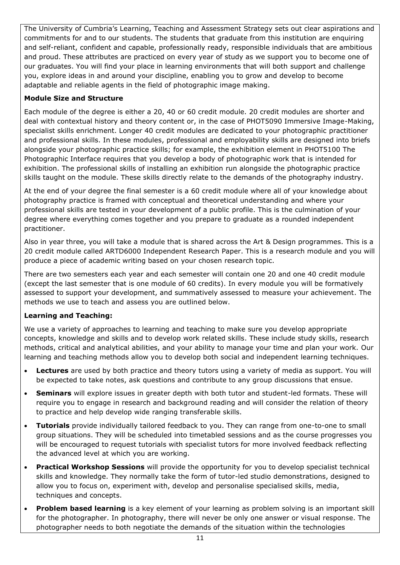The University of Cumbria's Learning, Teaching and Assessment Strategy sets out clear aspirations and commitments for and to our students. The students that graduate from this institution are enquiring and self-reliant, confident and capable, professionally ready, responsible individuals that are ambitious and proud. These attributes are practiced on every year of study as we support you to become one of our graduates. You will find your place in learning environments that will both support and challenge you, explore ideas in and around your discipline, enabling you to grow and develop to become adaptable and reliable agents in the field of photographic image making.

# **Module Size and Structure**

Each module of the degree is either a 20, 40 or 60 credit module. 20 credit modules are shorter and deal with contextual history and theory content or, in the case of PHOT5090 Immersive Image-Making, specialist skills enrichment. Longer 40 credit modules are dedicated to your photographic practitioner and professional skills. In these modules, professional and employability skills are designed into briefs alongside your photographic practice skills; for example, the exhibition element in PHOT5100 The Photographic Interface requires that you develop a body of photographic work that is intended for exhibition. The professional skills of installing an exhibition run alongside the photographic practice skills taught on the module. These skills directly relate to the demands of the photography industry.

At the end of your degree the final semester is a 60 credit module where all of your knowledge about photography practice is framed with conceptual and theoretical understanding and where your professional skills are tested in your development of a public profile. This is the culmination of your degree where everything comes together and you prepare to graduate as a rounded independent practitioner.

Also in year three, you will take a module that is shared across the Art & Design programmes. This is a 20 credit module called ARTD6000 Independent Research Paper. This is a research module and you will produce a piece of academic writing based on your chosen research topic.

There are two semesters each year and each semester will contain one 20 and one 40 credit module (except the last semester that is one module of 60 credits). In every module you will be formatively assessed to support your development, and summatively assessed to measure your achievement. The methods we use to teach and assess you are outlined below.

# **Learning and Teaching:**

We use a variety of approaches to learning and teaching to make sure you develop appropriate concepts, knowledge and skills and to develop work related skills. These include study skills, research methods, critical and analytical abilities, and your ability to manage your time and plan your work. Our learning and teaching methods allow you to develop both social and independent learning techniques.

- **Lectures** are used by both practice and theory tutors using a variety of media as support. You will be expected to take notes, ask questions and contribute to any group discussions that ensue.
- **Seminars** will explore issues in greater depth with both tutor and student-led formats. These will require you to engage in research and background reading and will consider the relation of theory to practice and help develop wide ranging transferable skills.
- **Tutorials** provide individually tailored feedback to you. They can range from one-to-one to small group situations. They will be scheduled into timetabled sessions and as the course progresses you will be encouraged to request tutorials with specialist tutors for more involved feedback reflecting the advanced level at which you are working.
- **Practical Workshop Sessions** will provide the opportunity for you to develop specialist technical skills and knowledge. They normally take the form of tutor-led studio demonstrations, designed to allow you to focus on, experiment with, develop and personalise specialised skills, media, techniques and concepts.
- **Problem based learning** is a key element of your learning as problem solving is an important skill for the photographer. In photography, there will never be only one answer or visual response. The photographer needs to both negotiate the demands of the situation within the technologies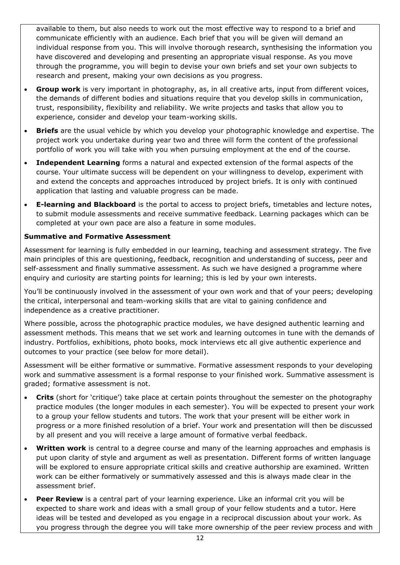available to them, but also needs to work out the most effective way to respond to a brief and communicate efficiently with an audience. Each brief that you will be given will demand an individual response from you. This will involve thorough research, synthesising the information you have discovered and developing and presenting an appropriate visual response. As you move through the programme, you will begin to devise your own briefs and set your own subjects to research and present, making your own decisions as you progress.

- **Group work** is very important in photography, as, in all creative arts, input from different voices, the demands of different bodies and situations require that you develop skills in communication, trust, responsibility, flexibility and reliability. We write projects and tasks that allow you to experience, consider and develop your team-working skills.
- **Briefs** are the usual vehicle by which you develop your photographic knowledge and expertise. The project work you undertake during year two and three will form the content of the professional portfolio of work you will take with you when pursuing employment at the end of the course.
- **Independent Learning** forms a natural and expected extension of the formal aspects of the course. Your ultimate success will be dependent on your willingness to develop, experiment with and extend the concepts and approaches introduced by project briefs. It is only with continued application that lasting and valuable progress can be made.
- **E-learning and Blackboard** is the portal to access to project briefs, timetables and lecture notes, to submit module assessments and receive summative feedback. Learning packages which can be completed at your own pace are also a feature in some modules.

# **Summative and Formative Assessment**

Assessment for learning is fully embedded in our learning, teaching and assessment strategy. The five main principles of this are questioning, feedback, recognition and understanding of success, peer and self-assessment and finally summative assessment. As such we have designed a programme where enquiry and curiosity are starting points for learning; this is led by your own interests.

You'll be continuously involved in the assessment of your own work and that of your peers; developing the critical, interpersonal and team-working skills that are vital to gaining confidence and independence as a creative practitioner.

Where possible, across the photographic practice modules, we have designed authentic learning and assessment methods. This means that we set work and learning outcomes in tune with the demands of industry. Portfolios, exhibitions, photo books, mock interviews etc all give authentic experience and outcomes to your practice (see below for more detail).

Assessment will be either formative or summative. Formative assessment responds to your developing work and summative assessment is a formal response to your finished work. Summative assessment is graded; formative assessment is not.

- **Crits** (short for 'critique') take place at certain points throughout the semester on the photography practice modules (the longer modules in each semester). You will be expected to present your work to a group your fellow students and tutors. The work that your present will be either work in progress or a more finished resolution of a brief. Your work and presentation will then be discussed by all present and you will receive a large amount of formative verbal feedback.
- **Written work** is central to a degree course and many of the learning approaches and emphasis is put upon clarity of style and argument as well as presentation. Different forms of written language will be explored to ensure appropriate critical skills and creative authorship are examined. Written work can be either formatively or summatively assessed and this is always made clear in the assessment brief.
- **Peer Review** is a central part of your learning experience. Like an informal crit you will be expected to share work and ideas with a small group of your fellow students and a tutor. Here ideas will be tested and developed as you engage in a reciprocal discussion about your work. As you progress through the degree you will take more ownership of the peer review process and with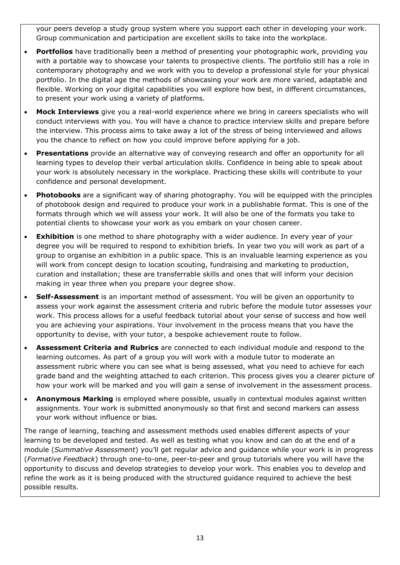your peers develop a study group system where you support each other in developing your work. Group communication and participation are excellent skills to take into the workplace.

- **Portfolios** have traditionally been a method of presenting your photographic work, providing you with a portable way to showcase your talents to prospective clients. The portfolio still has a role in contemporary photography and we work with you to develop a professional style for your physical portfolio. In the digital age the methods of showcasing your work are more varied, adaptable and flexible. Working on your digital capabilities you will explore how best, in different circumstances, to present your work using a variety of platforms.
- **Mock Interviews** give you a real-world experience where we bring in careers specialists who will conduct interviews with you. You will have a chance to practice interview skills and prepare before the interview. This process aims to take away a lot of the stress of being interviewed and allows you the chance to reflect on how you could improve before applying for a job.
- **Presentations** provide an alternative way of conveying research and offer an opportunity for all learning types to develop their verbal articulation skills. Confidence in being able to speak about your work is absolutely necessary in the workplace. Practicing these skills will contribute to your confidence and personal development.
- **Photobooks** are a significant way of sharing photography. You will be equipped with the principles of photobook design and required to produce your work in a publishable format. This is one of the formats through which we will assess your work. It will also be one of the formats you take to potential clients to showcase your work as you embark on your chosen career.
- **Exhibition** is one method to share photography with a wider audience. In every year of your degree you will be required to respond to exhibition briefs. In year two you will work as part of a group to organise an exhibition in a public space. This is an invaluable learning experience as you will work from concept design to location scouting, fundraising and marketing to production, curation and installation; these are transferrable skills and ones that will inform your decision making in year three when you prepare your degree show.
- **Self-Assessment** is an important method of assessment. You will be given an opportunity to assess your work against the assessment criteria and rubric before the module tutor assesses your work. This process allows for a useful feedback tutorial about your sense of success and how well you are achieving your aspirations. Your involvement in the process means that you have the opportunity to devise, with your tutor, a bespoke achievement route to follow.
- **Assessment Criteria and Rubrics** are connected to each individual module and respond to the learning outcomes. As part of a group you will work with a module tutor to moderate an assessment rubric where you can see what is being assessed, what you need to achieve for each grade band and the weighting attached to each criterion. This process gives you a clearer picture of how your work will be marked and you will gain a sense of involvement in the assessment process.
- **Anonymous Marking** is employed where possible, usually in contextual modules against written assignments. Your work is submitted anonymously so that first and second markers can assess your work without influence or bias.

The range of learning, teaching and assessment methods used enables different aspects of your learning to be developed and tested. As well as testing what you know and can do at the end of a module (*Summative Assessment*) you'll get regular advice and guidance while your work is in progress (*Formative Feedback*) through one-to-one, peer-to-peer and group tutorials where you will have the opportunity to discuss and develop strategies to develop your work. This enables you to develop and refine the work as it is being produced with the structured guidance required to achieve the best possible results.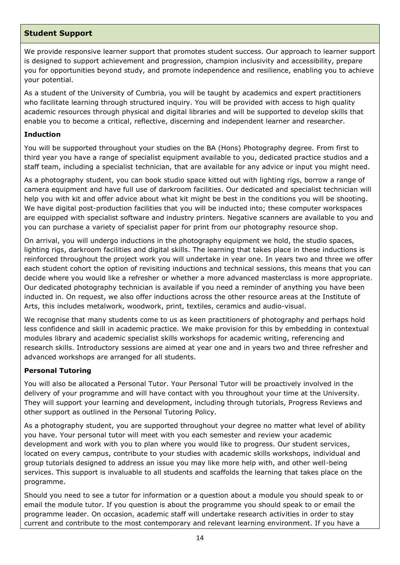# **Student Support**

We provide responsive learner support that promotes student success. Our approach to learner support is designed to support achievement and progression, champion inclusivity and accessibility, prepare you for opportunities beyond study, and promote independence and resilience, enabling you to achieve your potential.

As a student of the University of Cumbria, you will be taught by academics and expert practitioners who facilitate learning through structured inquiry. You will be provided with access to high quality academic resources through physical and digital libraries and will be supported to develop skills that enable you to become a critical, reflective, discerning and independent learner and researcher.

### **Induction**

You will be supported throughout your studies on the BA (Hons) Photography degree. From first to third year you have a range of specialist equipment available to you, dedicated practice studios and a staff team, including a specialist technician, that are available for any advice or input you might need.

As a photography student, you can book studio space kitted out with lighting rigs, borrow a range of camera equipment and have full use of darkroom facilities. Our dedicated and specialist technician will help you with kit and offer advice about what kit might be best in the conditions you will be shooting. We have digital post-production facilities that you will be inducted into; these computer workspaces are equipped with specialist software and industry printers. Negative scanners are available to you and you can purchase a variety of specialist paper for print from our photography resource shop.

On arrival, you will undergo inductions in the photography equipment we hold, the studio spaces, lighting rigs, darkroom facilities and digital skills. The learning that takes place in these inductions is reinforced throughout the project work you will undertake in year one. In years two and three we offer each student cohort the option of revisiting inductions and technical sessions, this means that you can decide where you would like a refresher or whether a more advanced masterclass is more appropriate. Our dedicated photography technician is available if you need a reminder of anything you have been inducted in. On request, we also offer inductions across the other resource areas at the Institute of Arts, this includes metalwork, woodwork, print, textiles, ceramics and audio-visual.

We recognise that many students come to us as keen practitioners of photography and perhaps hold less confidence and skill in academic practice. We make provision for this by embedding in contextual modules library and academic specialist skills workshops for academic writing, referencing and research skills. Introductory sessions are aimed at year one and in years two and three refresher and advanced workshops are arranged for all students.

### **Personal Tutoring**

You will also be allocated a Personal Tutor. Your Personal Tutor will be proactively involved in the delivery of your programme and will have contact with you throughout your time at the University. They will support your learning and development, including through tutorials, Progress Reviews and other support as outlined in the Personal Tutoring Policy.

As a photography student, you are supported throughout your degree no matter what level of ability you have. Your personal tutor will meet with you each semester and review your academic development and work with you to plan where you would like to progress. Our student services, located on every campus, contribute to your studies with academic skills workshops, individual and group tutorials designed to address an issue you may like more help with, and other well-being services. This support is invaluable to all students and scaffolds the learning that takes place on the programme.

Should you need to see a tutor for information or a question about a module you should speak to or email the module tutor. If you question is about the programme you should speak to or email the programme leader. On occasion, academic staff will undertake research activities in order to stay current and contribute to the most contemporary and relevant learning environment. If you have a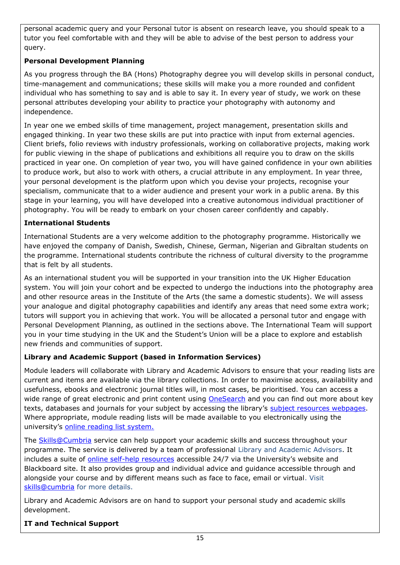personal academic query and your Personal tutor is absent on research leave, you should speak to a tutor you feel comfortable with and they will be able to advise of the best person to address your query.

# **Personal Development Planning**

As you progress through the BA (Hons) Photography degree you will develop skills in personal conduct, time-management and communications; these skills will make you a more rounded and confident individual who has something to say and is able to say it. In every year of study, we work on these personal attributes developing your ability to practice your photography with autonomy and independence.

In year one we embed skills of time management, project management, presentation skills and engaged thinking. In year two these skills are put into practice with input from external agencies. Client briefs, folio reviews with industry professionals, working on collaborative projects, making work for public viewing in the shape of publications and exhibitions all require you to draw on the skills practiced in year one. On completion of year two, you will have gained confidence in your own abilities to produce work, but also to work with others, a crucial attribute in any employment. In year three, your personal development is the platform upon which you devise your projects, recognise your specialism, communicate that to a wider audience and present your work in a public arena. By this stage in your learning, you will have developed into a creative autonomous individual practitioner of photography. You will be ready to embark on your chosen career confidently and capably.

# **International Students**

International Students are a very welcome addition to the photography programme. Historically we have enjoyed the company of Danish, Swedish, Chinese, German, Nigerian and Gibraltan students on the programme. International students contribute the richness of cultural diversity to the programme that is felt by all students.

As an international student you will be supported in your transition into the UK Higher Education system. You will join your cohort and be expected to undergo the inductions into the photography area and other resource areas in the Institute of the Arts (the same a domestic students). We will assess your analogue and digital photography capabilities and identify any areas that need some extra work; tutors will support you in achieving that work. You will be allocated a personal tutor and engage with Personal Development Planning, as outlined in the sections above. The International Team will support you in your time studying in the UK and the Student's Union will be a place to explore and establish new friends and communities of support.

# **Library and Academic Support (based in Information Services)**

Module leaders will collaborate with Library and Academic Advisors to ensure that your reading lists are current and items are available via the library collections. In order to maximise access, availability and usefulness, ebooks and electronic journal titles will, in most cases, be prioritised. You can access a wide range of great electronic and print content using [OneSearch](http://cumbria-primo.hosted.exlibrisgroup.com/primo_library/libweb/action/search.do?vid=44UOC_VU1) and you can find out more about key texts, databases and journals for your subject by accessing the library's [subject resources webpages.](http://my.cumbria.ac.uk/StudentLife/Learning/Resources/Subjects/Home.aspx) Where appropriate, module reading lists will be made available to you electronically using the university's [online reading list system.](https://cumbria.rebuslist.com/)

The [Skills@Cumbria](https://my.cumbria.ac.uk/Student-Life/Learning/Skills-Cumbria/) service can help support your academic skills and success throughout your programme. The service is delivered by a team of professional Library and Academic Advisors. It includes a suite of [online self-help resources](https://my.cumbria.ac.uk/Student-Life/Learning/Skills-Cumbria/) accessible 24/7 via the University's website and Blackboard site. It also provides group and individual advice and guidance accessible through and alongside your course and by different means such as face to face, email or virtual. Visit [skills@cumbria](https://my.cumbria.ac.uk/Student-Life/Learning/Skills-Cumbria/) for more details.

Library and Academic Advisors are on hand to support your personal study and academic skills development.

# **IT and Technical Support**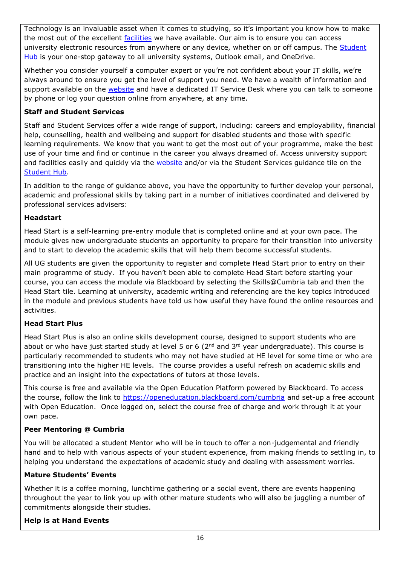Technology is an invaluable asset when it comes to studying, so it's important you know how to make the most out of the excellent [facilities](https://www.cumbria.ac.uk/student-life/facilities/it-facilities/) we have available. Our aim is to ensure you can access university electronic resources from anywhere or any device, whether on or off campus. The **Student** [Hub](https://universityofcumbria.mydaycloud.com/dashboard/allsorts) is your one-stop gateway to all university systems, Outlook email, and OneDrive.

Whether you consider yourself a computer expert or you're not confident about your IT skills, we're always around to ensure you get the level of support you need. We have a wealth of information and support available on the [website](https://my.cumbria.ac.uk/Student-Life/it-media/) and have a dedicated IT Service Desk where you can talk to someone by phone or log your question online from anywhere, at any time.

# **Staff and Student Services**

Staff and Student Services offer a wide range of support, including: careers and employability, financial help, counselling, health and wellbeing and support for disabled students and those with specific learning requirements. We know that you want to get the most out of your programme, make the best use of your time and find or continue in the career you always dreamed of. Access university support and facilities easily and quickly via the [website](https://my.cumbria.ac.uk/) and/or via the Student Services guidance tile on the [Student Hub.](https://universityofcumbria.mydaycloud.com/dashboard/allsorts)

In addition to the range of guidance above, you have the opportunity to further develop your personal, academic and professional skills by taking part in a number of initiatives coordinated and delivered by professional services advisers:

# **Headstart**

Head Start is a self-learning pre-entry module that is completed online and at your own pace. The module gives new undergraduate students an opportunity to prepare for their transition into university and to start to develop the academic skills that will help them become successful students.

All UG students are given the opportunity to register and complete Head Start prior to entry on their main programme of study. If you haven't been able to complete Head Start before starting your course, you can access the module via Blackboard by selecting the Skills@Cumbria tab and then the Head Start tile. Learning at university, academic writing and referencing are the key topics introduced in the module and previous students have told us how useful they have found the online resources and activities.

# **Head Start Plus**

Head Start Plus is also an online skills development course, designed to support students who are about or who have just started study at level 5 or 6 (2<sup>nd</sup> and 3<sup>rd</sup> year undergraduate). This course is particularly recommended to students who may not have studied at HE level for some time or who are transitioning into the higher HE levels. The course provides a useful refresh on academic skills and practice and an insight into the expectations of tutors at those levels.

This course is free and available via the Open Education Platform powered by Blackboard. To access the course, follow the link to<https://openeducation.blackboard.com/cumbria> and set-up a free account with Open Education. Once logged on, select the course free of charge and work through it at your own pace.

# **Peer Mentoring @ Cumbria**

You will be allocated a student Mentor who will be in touch to offer a non-judgemental and friendly hand and to help with various aspects of your student experience, from making friends to settling in, to helping you understand the expectations of academic study and dealing with assessment worries.

# **Mature Students' Events**

Whether it is a coffee morning, lunchtime gathering or a social event, there are events happening throughout the year to link you up with other mature students who will also be juggling a number of commitments alongside their studies.

# **Help is at Hand Events**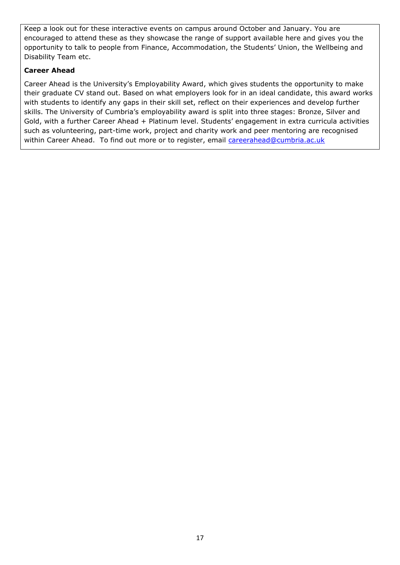Keep a look out for these interactive events on campus around October and January. You are encouraged to attend these as they showcase the range of support available here and gives you the opportunity to talk to people from Finance, Accommodation, the Students' Union, the Wellbeing and Disability Team etc.

# **Career Ahead**

Career Ahead is the University's Employability Award, which gives students the opportunity to make their graduate CV stand out. Based on what employers look for in an ideal candidate, this award works with students to identify any gaps in their skill set, reflect on their experiences and develop further skills. The University of Cumbria's employability award is split into three stages: Bronze, Silver and Gold, with a further Career Ahead + Platinum level. Students' engagement in extra curricula activities such as volunteering, part-time work, project and charity work and peer mentoring are recognised within Career Ahead. To find out more or to register, email [careerahead@cumbria.ac.uk](mailto:careerahead@cumbria.ac.uk)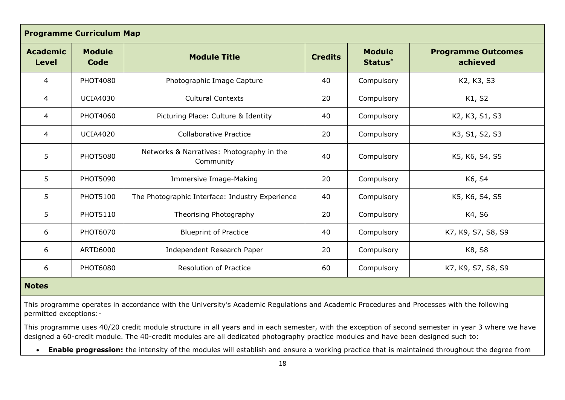| <b>Programme Curriculum Map</b> |                       |                                                        |                |                          |                                       |
|---------------------------------|-----------------------|--------------------------------------------------------|----------------|--------------------------|---------------------------------------|
| <b>Academic</b><br><b>Level</b> | <b>Module</b><br>Code | <b>Module Title</b>                                    | <b>Credits</b> | <b>Module</b><br>Status* | <b>Programme Outcomes</b><br>achieved |
| 4                               | <b>PHOT4080</b>       | Photographic Image Capture                             | 40             | Compulsory               | K2, K3, S3                            |
| 4                               | <b>UCIA4030</b>       | <b>Cultural Contexts</b>                               | 20             | Compulsory               | K1, S2                                |
| $\overline{4}$                  | <b>PHOT4060</b>       | Picturing Place: Culture & Identity                    | 40             | Compulsory               | K2, K3, S1, S3                        |
| $\overline{4}$                  | <b>UCIA4020</b>       | <b>Collaborative Practice</b>                          | 20             | Compulsory               | K3, S1, S2, S3                        |
| 5                               | <b>PHOT5080</b>       | Networks & Narratives: Photography in the<br>Community | 40             | Compulsory               | K5, K6, S4, S5                        |
| 5                               | <b>PHOT5090</b>       | Immersive Image-Making                                 | 20             | Compulsory               | K6, S4                                |
| 5                               | <b>PHOT5100</b>       | The Photographic Interface: Industry Experience        | 40             | Compulsory               | K5, K6, S4, S5                        |
| 5                               | <b>PHOT5110</b>       | Theorising Photography                                 | 20             | Compulsory               | K4, S6                                |
| 6                               | <b>PHOT6070</b>       | <b>Blueprint of Practice</b>                           | 40             | Compulsory               | K7, K9, S7, S8, S9                    |
| 6                               | ARTD6000              | Independent Research Paper                             | 20             | Compulsory               | K8, S8                                |
| 6                               | <b>PHOT6080</b>       | <b>Resolution of Practice</b>                          | 60             | Compulsory               | K7, K9, S7, S8, S9                    |

# **Notes**

This programme operates in accordance with the University's Academic Regulations and Academic Procedures and Processes with the following permitted exceptions:-

This programme uses 40/20 credit module structure in all years and in each semester, with the exception of second semester in year 3 where we have designed a 60-credit module. The 40-credit modules are all dedicated photography practice modules and have been designed such to:

• **Enable progression:** the intensity of the modules will establish and ensure a working practice that is maintained throughout the degree from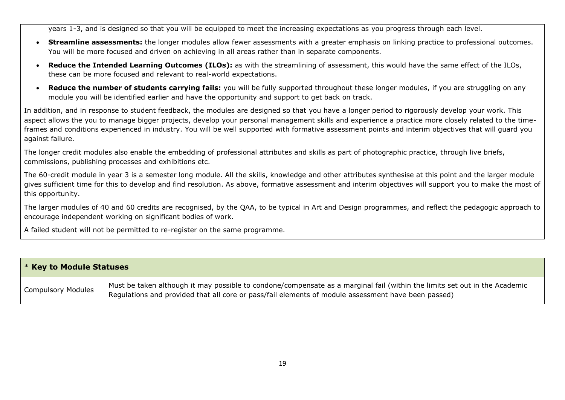years 1-3, and is designed so that you will be equipped to meet the increasing expectations as you progress through each level.

- **Streamline assessments:** the longer modules allow fewer assessments with a greater emphasis on linking practice to professional outcomes. You will be more focused and driven on achieving in all areas rather than in separate components.
- **Reduce the Intended Learning Outcomes (ILOs):** as with the streamlining of assessment, this would have the same effect of the ILOs, these can be more focused and relevant to real-world expectations.
- **Reduce the number of students carrying fails:** you will be fully supported throughout these longer modules, if you are struggling on any module you will be identified earlier and have the opportunity and support to get back on track.

In addition, and in response to student feedback, the modules are designed so that you have a longer period to rigorously develop your work. This aspect allows the you to manage bigger projects, develop your personal management skills and experience a practice more closely related to the timeframes and conditions experienced in industry. You will be well supported with formative assessment points and interim objectives that will guard you against failure.

The longer credit modules also enable the embedding of professional attributes and skills as part of photographic practice, through live briefs, commissions, publishing processes and exhibitions etc.

The 60-credit module in year 3 is a semester long module. All the skills, knowledge and other attributes synthesise at this point and the larger module gives sufficient time for this to develop and find resolution. As above, formative assessment and interim objectives will support you to make the most of this opportunity.

The larger modules of 40 and 60 credits are recognised, by the QAA, to be typical in Art and Design programmes, and reflect the pedagogic approach to encourage independent working on significant bodies of work.

A failed student will not be permitted to re-register on the same programme.

| <b>* Key to Module Statuses</b> |                                                                                                                                                                                                                                   |  |
|---------------------------------|-----------------------------------------------------------------------------------------------------------------------------------------------------------------------------------------------------------------------------------|--|
| <b>Compulsory Modules</b>       | Must be taken although it may possible to condone/compensate as a marginal fail (within the limits set out in the Academic<br>Regulations and provided that all core or pass/fail elements of module assessment have been passed) |  |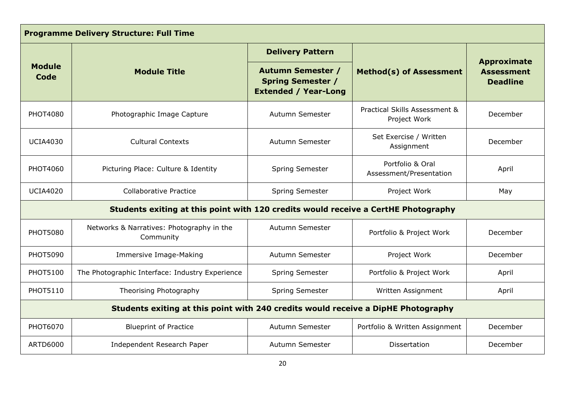| <b>Programme Delivery Structure: Full Time</b>                                    |                                                                                    |                                                                                     |                                               |                                                            |  |
|-----------------------------------------------------------------------------------|------------------------------------------------------------------------------------|-------------------------------------------------------------------------------------|-----------------------------------------------|------------------------------------------------------------|--|
|                                                                                   |                                                                                    | <b>Delivery Pattern</b>                                                             |                                               |                                                            |  |
| <b>Module</b><br><b>Module Title</b><br>Code                                      |                                                                                    | <b>Autumn Semester /</b><br><b>Spring Semester /</b><br><b>Extended / Year-Long</b> | <b>Method(s) of Assessment</b>                | <b>Approximate</b><br><b>Assessment</b><br><b>Deadline</b> |  |
| <b>PHOT4080</b>                                                                   | Photographic Image Capture                                                         | Autumn Semester                                                                     | Practical Skills Assessment &<br>Project Work | December                                                   |  |
| <b>UCIA4030</b>                                                                   | <b>Cultural Contexts</b>                                                           | Autumn Semester                                                                     | Set Exercise / Written<br>Assignment          | December                                                   |  |
| PHOT4060                                                                          | Picturing Place: Culture & Identity                                                | Spring Semester                                                                     | Portfolio & Oral<br>Assessment/Presentation   | April                                                      |  |
| <b>UCIA4020</b>                                                                   | <b>Collaborative Practice</b>                                                      | Spring Semester                                                                     | Project Work                                  | May                                                        |  |
|                                                                                   | Students exiting at this point with 120 credits would receive a CertHE Photography |                                                                                     |                                               |                                                            |  |
| <b>PHOT5080</b>                                                                   | Networks & Narratives: Photography in the<br>Community                             | Autumn Semester                                                                     | Portfolio & Project Work                      | December                                                   |  |
| <b>PHOT5090</b>                                                                   | Immersive Image-Making                                                             | Autumn Semester                                                                     | Project Work                                  | December                                                   |  |
| <b>PHOT5100</b>                                                                   | The Photographic Interface: Industry Experience                                    | <b>Spring Semester</b>                                                              | Portfolio & Project Work                      | April                                                      |  |
| <b>PHOT5110</b>                                                                   | Theorising Photography                                                             | Spring Semester                                                                     | Written Assignment                            | April                                                      |  |
| Students exiting at this point with 240 credits would receive a DipHE Photography |                                                                                    |                                                                                     |                                               |                                                            |  |
| <b>PHOT6070</b>                                                                   | <b>Blueprint of Practice</b>                                                       | Autumn Semester                                                                     | Portfolio & Written Assignment                | December                                                   |  |
| <b>ARTD6000</b>                                                                   | Independent Research Paper                                                         | Autumn Semester                                                                     | Dissertation                                  | December                                                   |  |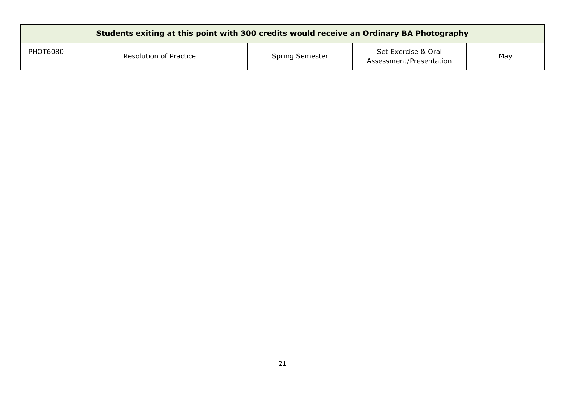| Students exiting at this point with 300 credits would receive an Ordinary BA Photography |                        |                 |                                                |     |
|------------------------------------------------------------------------------------------|------------------------|-----------------|------------------------------------------------|-----|
| <b>PHOT6080</b>                                                                          | Resolution of Practice | Spring Semester | Set Exercise & Oral<br>Assessment/Presentation | May |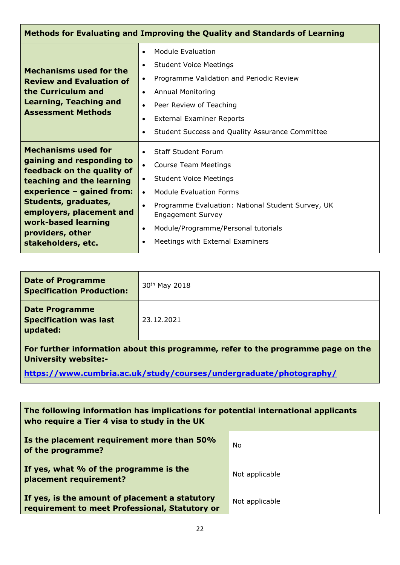| Methods for Evaluating and Improving the Quality and Standards of Learning                                                                                                                                                                                           |                                                                                                                                                                                                                                                                                                                                                                                     |  |
|----------------------------------------------------------------------------------------------------------------------------------------------------------------------------------------------------------------------------------------------------------------------|-------------------------------------------------------------------------------------------------------------------------------------------------------------------------------------------------------------------------------------------------------------------------------------------------------------------------------------------------------------------------------------|--|
| <b>Mechanisms used for the</b><br><b>Review and Evaluation of</b><br>the Curriculum and<br><b>Learning, Teaching and</b><br><b>Assessment Methods</b>                                                                                                                | Module Evaluation<br>$\bullet$<br><b>Student Voice Meetings</b><br>$\bullet$<br>Programme Validation and Periodic Review<br>$\bullet$<br><b>Annual Monitoring</b><br>$\bullet$<br>Peer Review of Teaching<br>$\bullet$<br><b>External Examiner Reports</b><br>$\bullet$<br>Student Success and Quality Assurance Committee<br>$\bullet$                                             |  |
| <b>Mechanisms used for</b><br>gaining and responding to<br>feedback on the quality of<br>teaching and the learning<br>experience - gained from:<br>Students, graduates,<br>employers, placement and<br>work-based learning<br>providers, other<br>stakeholders, etc. | <b>Staff Student Forum</b><br>$\bullet$<br><b>Course Team Meetings</b><br>$\bullet$<br><b>Student Voice Meetings</b><br>$\bullet$<br><b>Module Evaluation Forms</b><br>$\bullet$<br>Programme Evaluation: National Student Survey, UK<br>$\bullet$<br><b>Engagement Survey</b><br>Module/Programme/Personal tutorials<br>$\bullet$<br>Meetings with External Examiners<br>$\bullet$ |  |

| <b>Date of Programme</b><br><b>Specification Production:</b>       | 30 <sup>th</sup> May 2018 |
|--------------------------------------------------------------------|---------------------------|
| <b>Date Programme</b><br><b>Specification was last</b><br>updated: | 23.12.2021                |

**For further information about this programme, refer to the programme page on the University website:-**

**<https://www.cumbria.ac.uk/study/courses/undergraduate/photography/>**

| The following information has implications for potential international applicants<br>who require a Tier 4 visa to study in the UK |                |  |
|-----------------------------------------------------------------------------------------------------------------------------------|----------------|--|
| Is the placement requirement more than 50%<br>of the programme?                                                                   | No             |  |
| If yes, what % of the programme is the<br>placement requirement?                                                                  | Not applicable |  |
| If yes, is the amount of placement a statutory<br>requirement to meet Professional, Statutory or                                  | Not applicable |  |